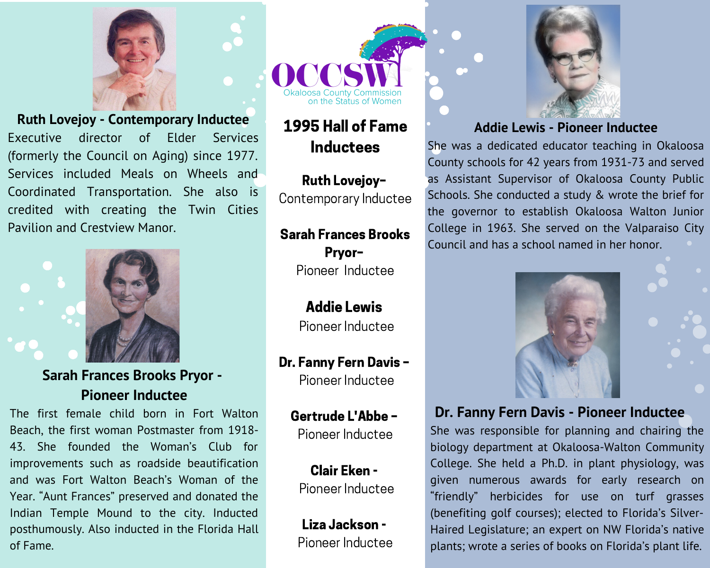

**Ruth Lovejoy - Contemporary Inductee** of Elder Services Executive director (formerly the Council on Aging) since 1977. Services included Meals on Wheels and Coordinated Transportation. She also is credited with creating the Twin Cities Pavilion and Crestview Manor.



**Sarah Frances Brooks Pryor -Pioneer Inductee** 

The first female child born in Fort Walton Beach, the first woman Postmaster from 1918-43. She founded the Woman's Club for improvements such as roadside beautification and was Fort Walton Beach's Woman of the Year. "Aunt Frances" preserved and donated the Indian Temple Mound to the city. Inducted posthumously. Also inducted in the Florida Hall of Fame.



# 1995 Hall of Fame **Inductees**

Ruth Lovejoy-Contemporary Inductee

**Sarah Frances Brooks** Pryor-Pioneer Inductee

> **Addie Lewis** Pioneer Inductee

Dr. Fanny Fern Davis -Pioneer Inductee

**Gertrude L'Abbe -**Pioneer Inductee

Clair Eken -Pioneer Inductee

Liza Jackson -Pioneer Inductee



## **Addie Lewis - Pioneer Inductee**

She was a dedicated educator teaching in Okaloosa County schools for 42 years from 1931-73 and served as Assistant Supervisor of Okaloosa County Public Schools. She conducted a study & wrote the brief for the governor to establish Okaloosa Walton Junior College in 1963. She served on the Valparaiso City Council and has a school named in her honor.



## Dr. Fanny Fern Davis - Pioneer Inductee

She was responsible for planning and chairing the biology department at Okaloosa-Walton Community College. She held a Ph.D. in plant physiology, was given numerous awards for early research on "friendly" herbicides for use on turf grasses (benefiting golf courses); elected to Florida's Silver-Haired Legislature; an expert on NW Florida's native plants; wrote a series of books on Florida's plant life.